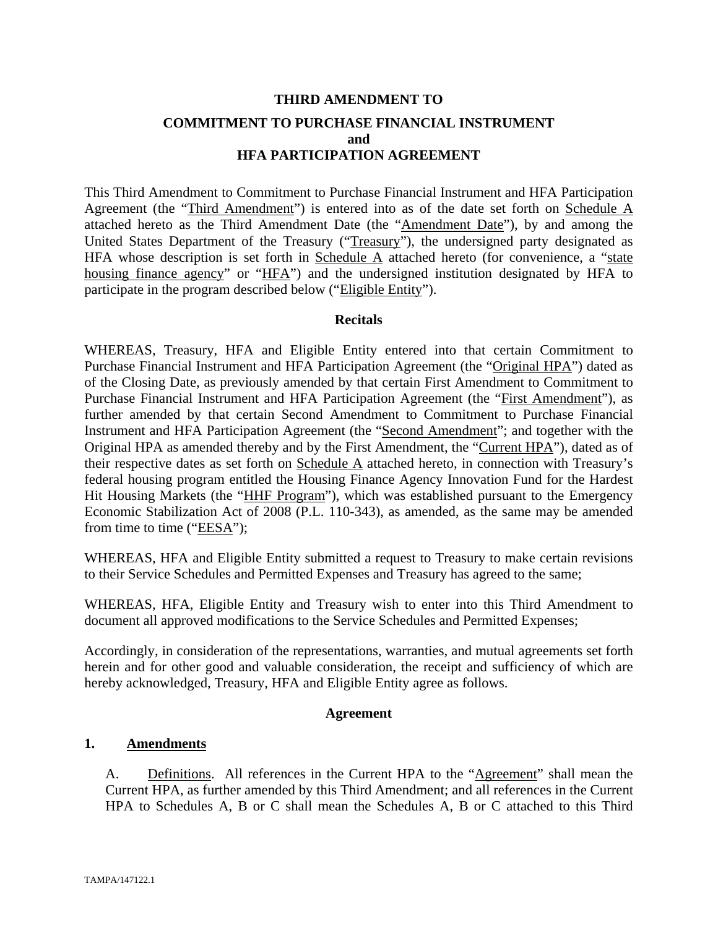# **THIRD AMENDMENT TO COMMITMENT TO PURCHASE FINANCIAL INSTRUMENT and HFA PARTICIPATION AGREEMENT**

This Third Amendment to Commitment to Purchase Financial Instrument and HFA Participation Agreement (the "Third Amendment") is entered into as of the date set forth on Schedule A attached hereto as the Third Amendment Date (the "Amendment Date"), by and among the United States Department of the Treasury ("Treasury"), the undersigned party designated as HFA whose description is set forth in Schedule  $\overline{A}$  attached hereto (for convenience, a "state housing finance agency" or "HFA") and the undersigned institution designated by HFA to participate in the program described below ("Eligible Entity").

## **Recitals**

WHEREAS, Treasury, HFA and Eligible Entity entered into that certain Commitment to Purchase Financial Instrument and HFA Participation Agreement (the "Original HPA") dated as of the Closing Date, as previously amended by that certain First Amendment to Commitment to Purchase Financial Instrument and HFA Participation Agreement (the "First Amendment"), as further amended by that certain Second Amendment to Commitment to Purchase Financial Instrument and HFA Participation Agreement (the "Second Amendment"; and together with the Original HPA as amended thereby and by the First Amendment, the "Current HPA"), dated as of their respective dates as set forth on Schedule A attached hereto, in connection with Treasury's federal housing program entitled the Housing Finance Agency Innovation Fund for the Hardest Hit Housing Markets (the "HHF Program"), which was established pursuant to the Emergency Economic Stabilization Act of 2008 (P.L. 110-343), as amended, as the same may be amended from time to time (" $EESA$ ");

WHEREAS, HFA and Eligible Entity submitted a request to Treasury to make certain revisions to their Service Schedules and Permitted Expenses and Treasury has agreed to the same;

WHEREAS, HFA, Eligible Entity and Treasury wish to enter into this Third Amendment to document all approved modifications to the Service Schedules and Permitted Expenses;

Accordingly, in consideration of the representations, warranties, and mutual agreements set forth herein and for other good and valuable consideration, the receipt and sufficiency of which are hereby acknowledged, Treasury, HFA and Eligible Entity agree as follows.

## **Agreement**

## **1. Amendments**

A. Definitions. All references in the Current HPA to the "Agreement" shall mean the Current HPA, as further amended by this Third Amendment; and all references in the Current HPA to Schedules A, B or C shall mean the Schedules A, B or C attached to this Third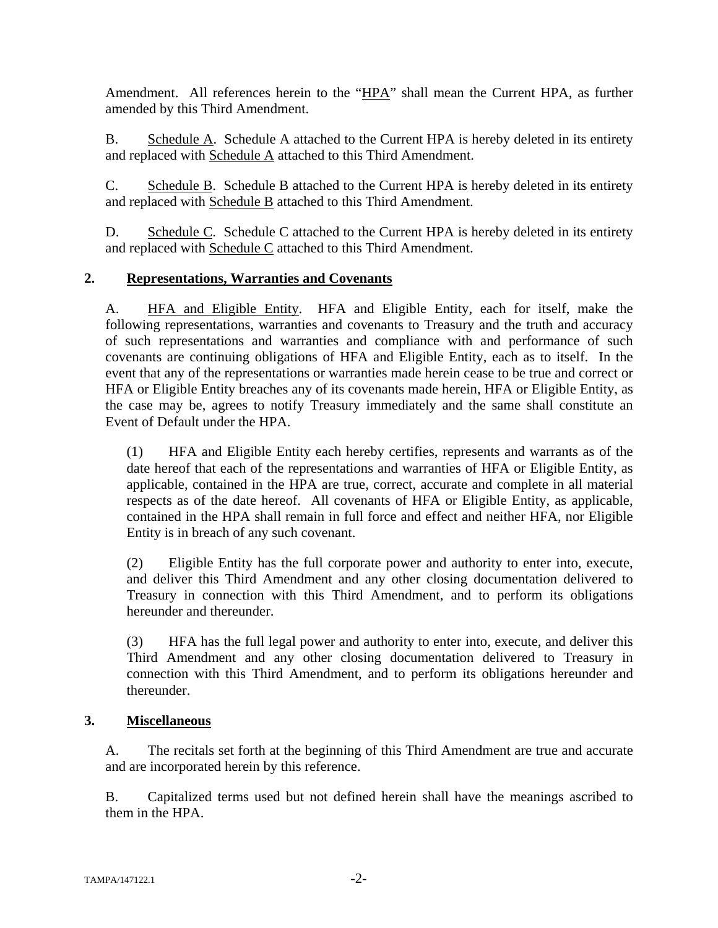Amendment. All references herein to the "HPA" shall mean the Current HPA, as further amended by this Third Amendment.

B. Schedule A. Schedule A attached to the Current HPA is hereby deleted in its entirety and replaced with Schedule A attached to this Third Amendment.

C. Schedule B. Schedule B attached to the Current HPA is hereby deleted in its entirety and replaced with Schedule B attached to this Third Amendment.

D. Schedule C. Schedule C attached to the Current HPA is hereby deleted in its entirety and replaced with Schedule C attached to this Third Amendment.

## **2. Representations, Warranties and Covenants**

A. HFA and Eligible Entity. HFA and Eligible Entity, each for itself, make the following representations, warranties and covenants to Treasury and the truth and accuracy of such representations and warranties and compliance with and performance of such covenants are continuing obligations of HFA and Eligible Entity, each as to itself. In the event that any of the representations or warranties made herein cease to be true and correct or HFA or Eligible Entity breaches any of its covenants made herein, HFA or Eligible Entity, as the case may be, agrees to notify Treasury immediately and the same shall constitute an Event of Default under the HPA.

(1) HFA and Eligible Entity each hereby certifies, represents and warrants as of the date hereof that each of the representations and warranties of HFA or Eligible Entity, as applicable, contained in the HPA are true, correct, accurate and complete in all material respects as of the date hereof. All covenants of HFA or Eligible Entity, as applicable, contained in the HPA shall remain in full force and effect and neither HFA, nor Eligible Entity is in breach of any such covenant.

(2) Eligible Entity has the full corporate power and authority to enter into, execute, and deliver this Third Amendment and any other closing documentation delivered to Treasury in connection with this Third Amendment, and to perform its obligations hereunder and thereunder.

(3) HFA has the full legal power and authority to enter into, execute, and deliver this Third Amendment and any other closing documentation delivered to Treasury in connection with this Third Amendment, and to perform its obligations hereunder and thereunder.

## **3. Miscellaneous**

A. The recitals set forth at the beginning of this Third Amendment are true and accurate and are incorporated herein by this reference.

B. Capitalized terms used but not defined herein shall have the meanings ascribed to them in the HPA.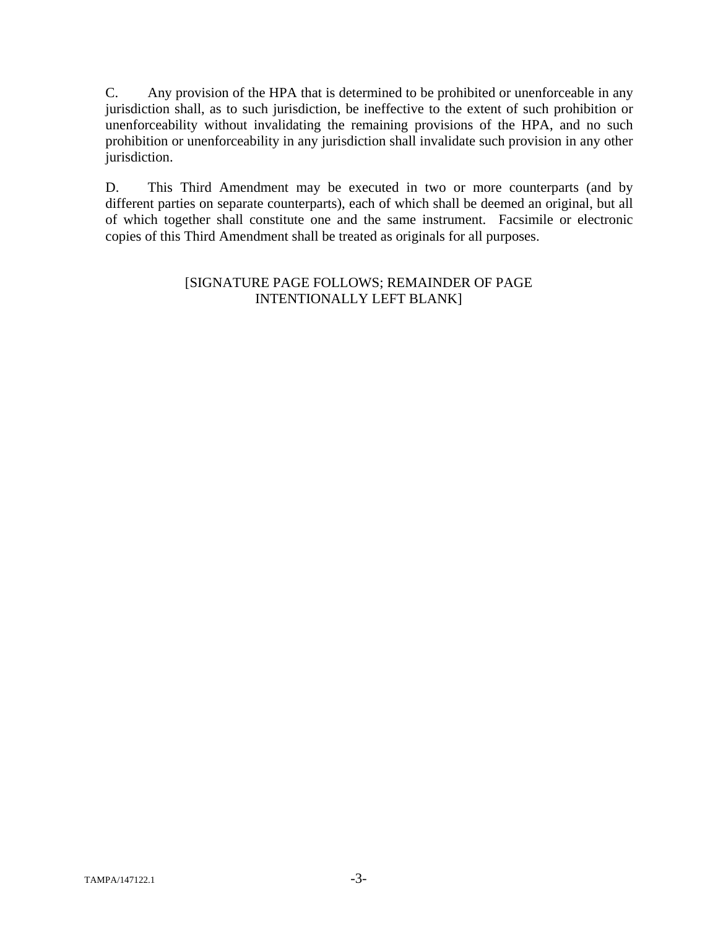C. Any provision of the HPA that is determined to be prohibited or unenforceable in any jurisdiction shall, as to such jurisdiction, be ineffective to the extent of such prohibition or unenforceability without invalidating the remaining provisions of the HPA, and no such prohibition or unenforceability in any jurisdiction shall invalidate such provision in any other jurisdiction.

D. This Third Amendment may be executed in two or more counterparts (and by different parties on separate counterparts), each of which shall be deemed an original, but all of which together shall constitute one and the same instrument. Facsimile or electronic copies of this Third Amendment shall be treated as originals for all purposes.

## [SIGNATURE PAGE FOLLOWS; REMAINDER OF PAGE INTENTIONALLY LEFT BLANK]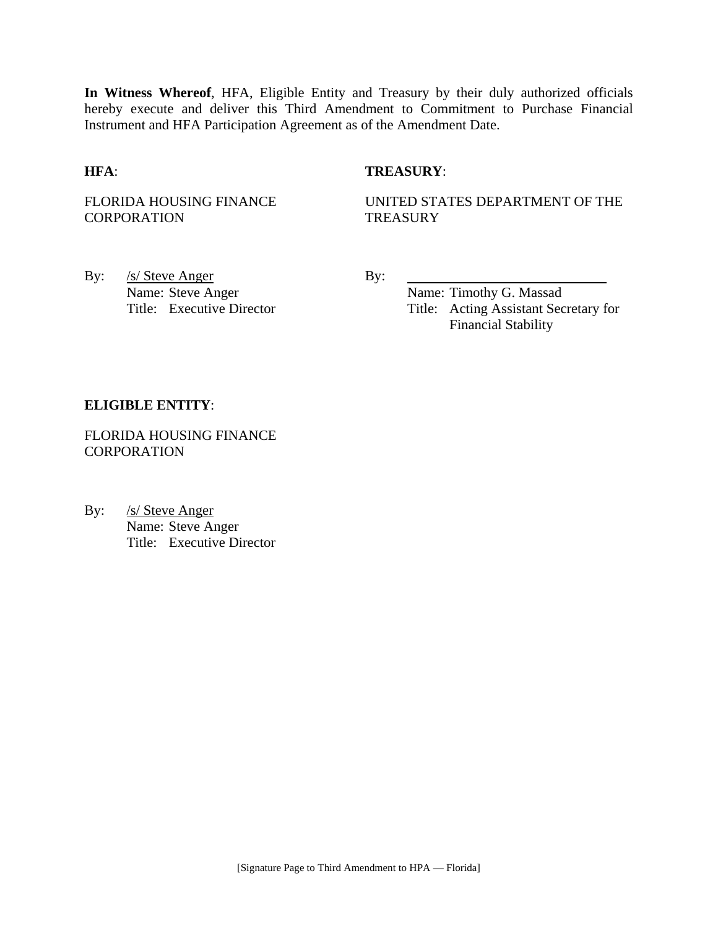**In Witness Whereof**, HFA, Eligible Entity and Treasury by their duly authorized officials hereby execute and deliver this Third Amendment to Commitment to Purchase Financial Instrument and HFA Participation Agreement as of the Amendment Date.

## **HFA**: **TREASURY**:

FLORIDA HOUSING FINANCE **CORPORATION** 

UNITED STATES DEPARTMENT OF THE **TREASURY** 

By: <u>/s/ Steve Anger</u> By: Name: Steve Anger Name: Timothy G. Massad

Title: Executive Director Title: Acting Assistant Secretary for Financial Stability

#### **ELIGIBLE ENTITY**:

FLORIDA HOUSING FINANCE **CORPORATION** 

By: /s/ Steve Anger Name: Steve Anger Title: Executive Director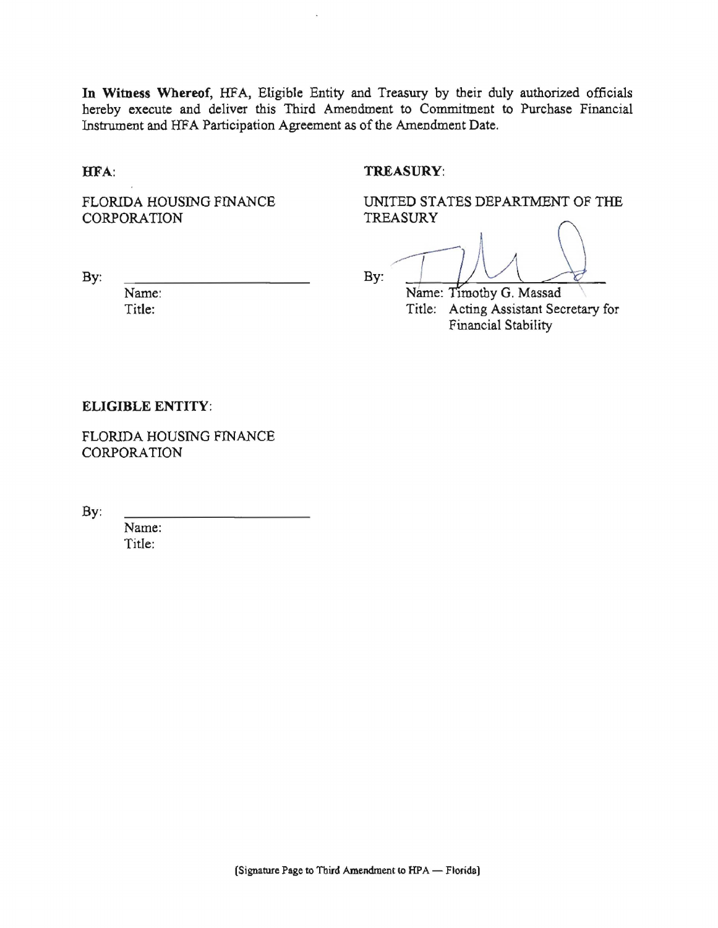In Witness Whereof, HFA, Eligible Entity and Treasury by their duly authorized officials hereby execute and deliver this Third Amendment to Commitment to Purchase Financial Instrument and HFA Participation Agreement as of the Amendment Date.

HFA:

By:

#### TREASURY:

FLORIDA HOUSING FINANCE CORPORATION

UNITED STATES DEPARTMENT OF THE **TREASURY** 

By:

Name: Timothy G. Massad Title: Acting Assistant Secretary for Financial Stability

#### **ELIGIBLE ENTITY:**

Name:

Title:

FLORIDA HOUSING FINANCE CORPORATION

By:

Name: Title: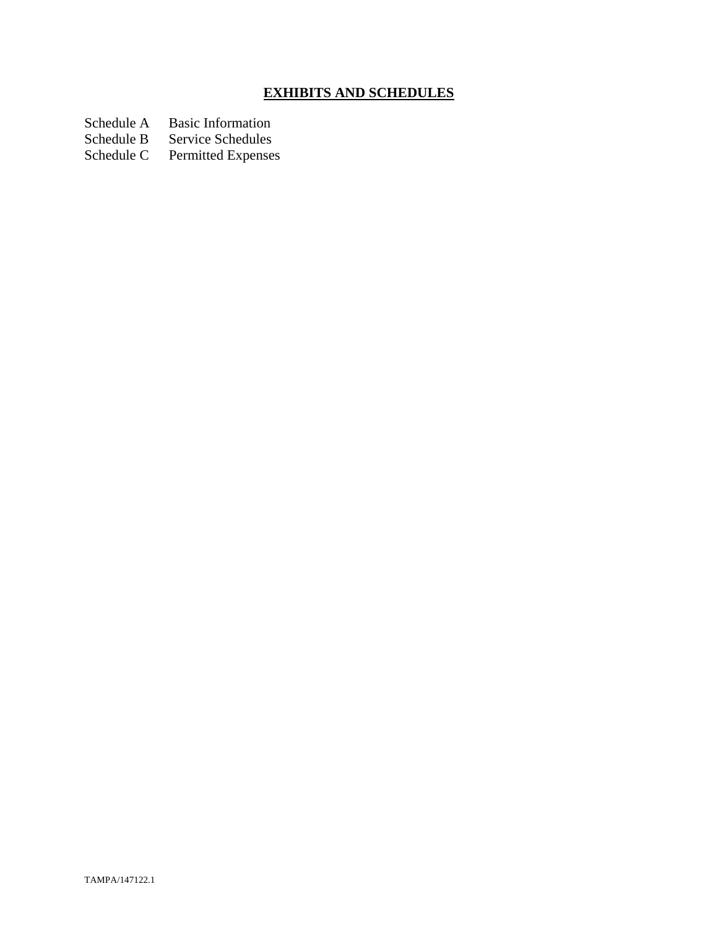# **EXHIBITS AND SCHEDULES**

Schedule A Basic Information<br>Schedule B Service Schedules

Schedule B Service Schedules<br>Schedule C Permitted Expenses

Permitted Expenses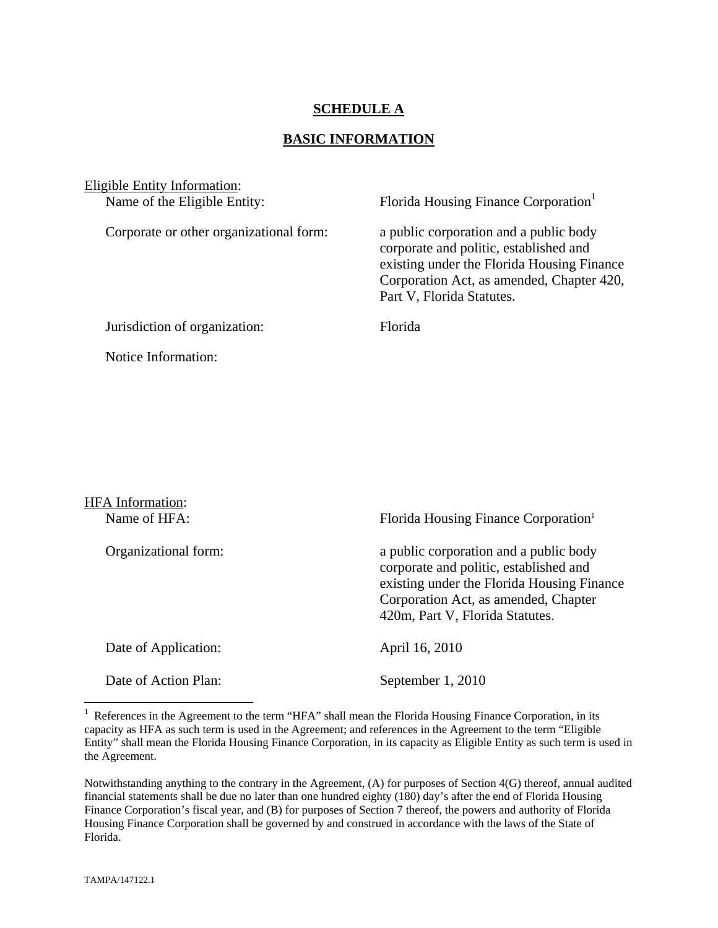## **SCHEDULE A**

## **BASIC INFORMATION**

| Eligible Entity Information:<br>Name of the Eligible Entity: | Florida Housing Finance Corporation                                                                                                                                                                      |
|--------------------------------------------------------------|----------------------------------------------------------------------------------------------------------------------------------------------------------------------------------------------------------|
| Corporate or other organizational form:                      | a public corporation and a public body<br>corporate and politic, established and<br>existing under the Florida Housing Finance<br>Corporation Act, as amended, Chapter 420,<br>Part V, Florida Statutes. |
| Jurisdiction of organization:                                | <b>Florida</b>                                                                                                                                                                                           |
| Notice Information:                                          |                                                                                                                                                                                                          |

| <b>HFA</b> Information: |                                                                                                                                                                                                           |
|-------------------------|-----------------------------------------------------------------------------------------------------------------------------------------------------------------------------------------------------------|
| Name of HFA:            | Florida Housing Finance Corporation <sup>1</sup>                                                                                                                                                          |
| Organizational form:    | a public corporation and a public body<br>corporate and politic, established and<br>existing under the Florida Housing Finance<br>Corporation Act, as amended, Chapter<br>420m, Part V, Florida Statutes. |
| Date of Application:    | April 16, 2010                                                                                                                                                                                            |
| Date of Action Plan:    | September 1, 2010                                                                                                                                                                                         |

<sup>&</sup>lt;sup>1</sup> References in the Agreement to the term "HFA" shall mean the Florida Housing Finance Corporation, in its capacity as HFA as such term is used in the Agreement; and references in the Agreement to the term "Eligible Entity" shall mean the Florida Housing Finance Corporation, in its capacity as Eligible Entity as such term is used in the Agreement.

1

Notwithstanding anything to the contrary in the Agreement, (A) for purposes of Section 4(G) thereof, annual audited financial statements shall be due no later than one hundred eighty (180) day's after the end of Florida Housing Finance Corporation's fiscal year, and (B) for purposes of Section 7 thereof, the powers and authority of Florida Housing Finance Corporation shall be governed by and construed in accordance with the laws of the State of Florida.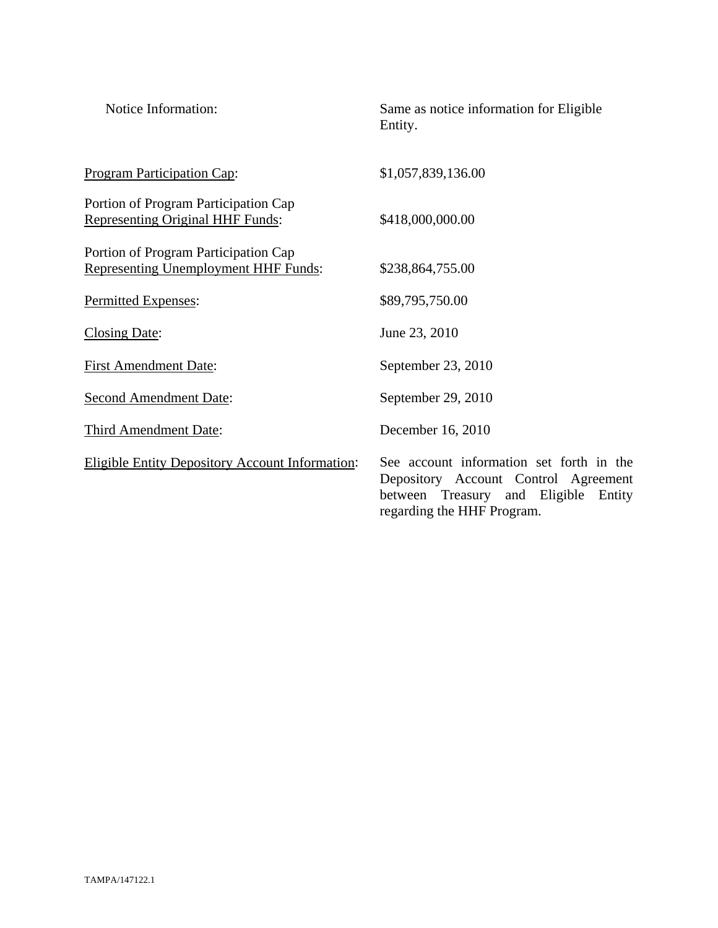| Notice Information:                                                                 | Same as notice information for Eligible<br>Entity.                                                                                                     |
|-------------------------------------------------------------------------------------|--------------------------------------------------------------------------------------------------------------------------------------------------------|
| <b>Program Participation Cap:</b>                                                   | \$1,057,839,136.00                                                                                                                                     |
| Portion of Program Participation Cap<br><b>Representing Original HHF Funds:</b>     | \$418,000,000.00                                                                                                                                       |
| Portion of Program Participation Cap<br><b>Representing Unemployment HHF Funds:</b> | \$238,864,755.00                                                                                                                                       |
| Permitted Expenses:                                                                 | \$89,795,750.00                                                                                                                                        |
| <b>Closing Date:</b>                                                                | June 23, 2010                                                                                                                                          |
| <b>First Amendment Date:</b>                                                        | September 23, 2010                                                                                                                                     |
| <b>Second Amendment Date:</b>                                                       | September 29, 2010                                                                                                                                     |
| Third Amendment Date:                                                               | December 16, 2010                                                                                                                                      |
| <b>Eligible Entity Depository Account Information:</b>                              | See account information set forth in the<br>Depository Account Control Agreement<br>between Treasury and Eligible Entity<br>regarding the HHF Program. |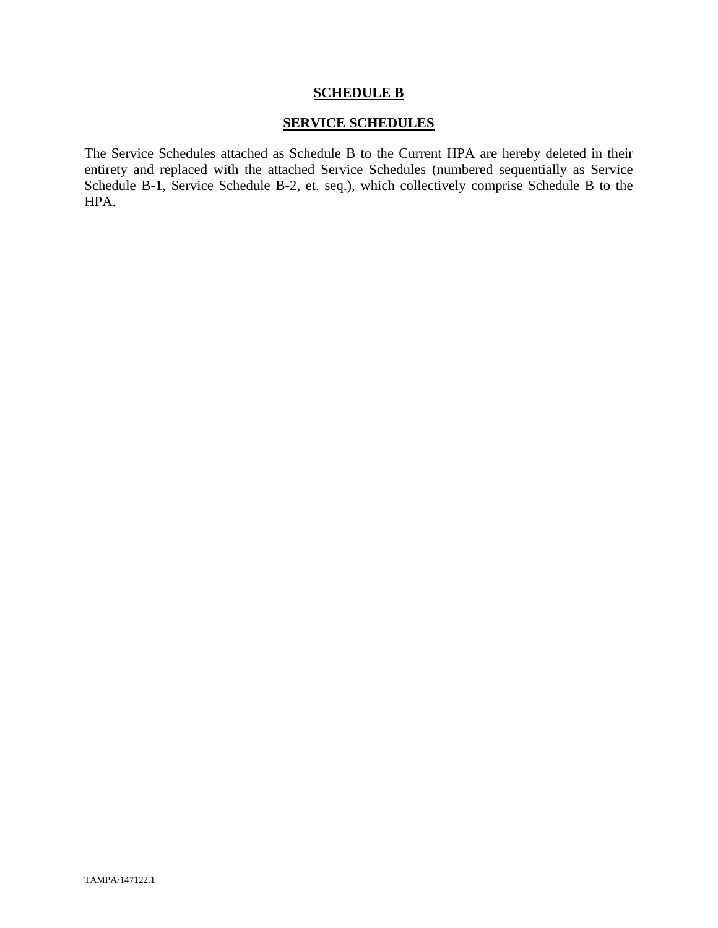## **SCHEDULE B**

## **SERVICE SCHEDULES**

The Service Schedules attached as Schedule B to the Current HPA are hereby deleted in their entirety and replaced with the attached Service Schedules (numbered sequentially as Service Schedule B-1, Service Schedule B-2, et. seq.), which collectively comprise Schedule B to the HPA.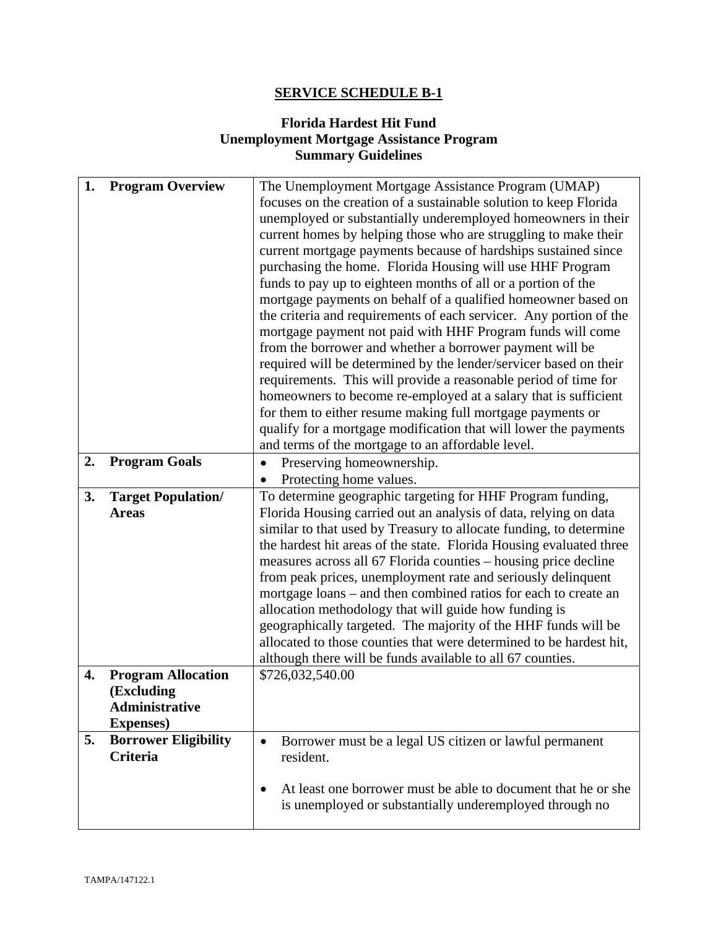# **SERVICE SCHEDULE B-1**

# **Florida Hardest Hit Fund Unemployment Mortgage Assistance Program Summary Guidelines**

| 1. | <b>Program Overview</b>     | The Unemployment Mortgage Assistance Program (UMAP)                  |  |
|----|-----------------------------|----------------------------------------------------------------------|--|
|    |                             | focuses on the creation of a sustainable solution to keep Florida    |  |
|    |                             | unemployed or substantially underemployed homeowners in their        |  |
|    |                             | current homes by helping those who are struggling to make their      |  |
|    |                             | current mortgage payments because of hardships sustained since       |  |
|    |                             | purchasing the home. Florida Housing will use HHF Program            |  |
|    |                             | funds to pay up to eighteen months of all or a portion of the        |  |
|    |                             | mortgage payments on behalf of a qualified homeowner based on        |  |
|    |                             | the criteria and requirements of each servicer. Any portion of the   |  |
|    |                             | mortgage payment not paid with HHF Program funds will come           |  |
|    |                             | from the borrower and whether a borrower payment will be             |  |
|    |                             | required will be determined by the lender/servicer based on their    |  |
|    |                             | requirements. This will provide a reasonable period of time for      |  |
|    |                             | homeowners to become re-employed at a salary that is sufficient      |  |
|    |                             | for them to either resume making full mortgage payments or           |  |
|    |                             | qualify for a mortgage modification that will lower the payments     |  |
|    |                             | and terms of the mortgage to an affordable level.                    |  |
| 2. | <b>Program Goals</b>        | Preserving homeownership.<br>$\bullet$                               |  |
|    |                             | Protecting home values.                                              |  |
| 3. | <b>Target Population/</b>   | To determine geographic targeting for HHF Program funding,           |  |
|    | <b>Areas</b>                | Florida Housing carried out an analysis of data, relying on data     |  |
|    |                             | similar to that used by Treasury to allocate funding, to determine   |  |
|    |                             | the hardest hit areas of the state. Florida Housing evaluated three  |  |
|    |                             | measures across all 67 Florida counties – housing price decline      |  |
|    |                             | from peak prices, unemployment rate and seriously delinquent         |  |
|    |                             | mortgage loans – and then combined ratios for each to create an      |  |
|    |                             | allocation methodology that will guide how funding is                |  |
|    |                             | geographically targeted. The majority of the HHF funds will be       |  |
|    |                             | allocated to those counties that were determined to be hardest hit,  |  |
|    |                             | although there will be funds available to all 67 counties.           |  |
| 4. | <b>Program Allocation</b>   | \$726,032,540.00                                                     |  |
|    | (Excluding                  |                                                                      |  |
|    | <b>Administrative</b>       |                                                                      |  |
|    | <b>Expenses</b> )           |                                                                      |  |
| 5. | <b>Borrower Eligibility</b> | Borrower must be a legal US citizen or lawful permanent<br>$\bullet$ |  |
|    | <b>Criteria</b>             | resident.                                                            |  |
|    |                             | At least one borrower must be able to document that he or she        |  |
|    |                             | is unemployed or substantially underemployed through no              |  |
|    |                             |                                                                      |  |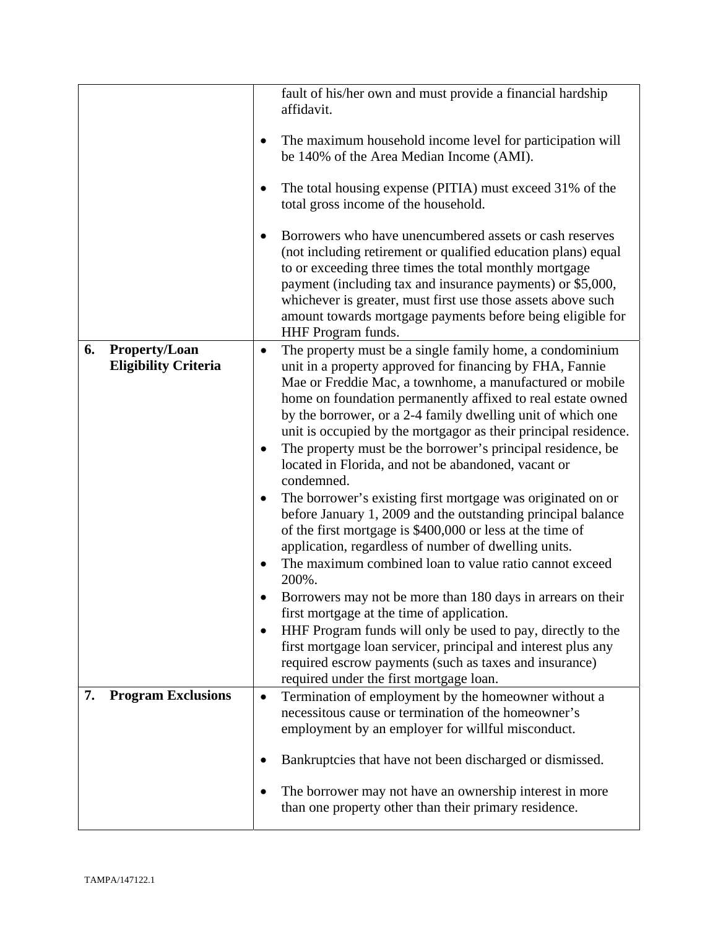|                                                           | fault of his/her own and must provide a financial hardship<br>affidavit.<br>The maximum household income level for participation will<br>be 140% of the Area Median Income (AMI).<br>The total housing expense (PITIA) must exceed 31% of the<br>total gross income of the household.<br>Borrowers who have unencumbered assets or cash reserves<br>(not including retirement or qualified education plans) equal<br>to or exceeding three times the total monthly mortgage<br>payment (including tax and insurance payments) or \$5,000,<br>whichever is greater, must first use those assets above such<br>amount towards mortgage payments before being eligible for<br>HHF Program funds.                                                                                                                                                                                                                                                                                                                                                                                                                                                                                                               |
|-----------------------------------------------------------|-------------------------------------------------------------------------------------------------------------------------------------------------------------------------------------------------------------------------------------------------------------------------------------------------------------------------------------------------------------------------------------------------------------------------------------------------------------------------------------------------------------------------------------------------------------------------------------------------------------------------------------------------------------------------------------------------------------------------------------------------------------------------------------------------------------------------------------------------------------------------------------------------------------------------------------------------------------------------------------------------------------------------------------------------------------------------------------------------------------------------------------------------------------------------------------------------------------|
| 6.<br><b>Property/Loan</b><br><b>Eligibility Criteria</b> | The property must be a single family home, a condominium<br>$\bullet$<br>unit in a property approved for financing by FHA, Fannie<br>Mae or Freddie Mac, a townhome, a manufactured or mobile<br>home on foundation permanently affixed to real estate owned<br>by the borrower, or a 2-4 family dwelling unit of which one<br>unit is occupied by the mortgagor as their principal residence.<br>The property must be the borrower's principal residence, be<br>located in Florida, and not be abandoned, vacant or<br>condemned.<br>The borrower's existing first mortgage was originated on or<br>before January 1, 2009 and the outstanding principal balance<br>of the first mortgage is \$400,000 or less at the time of<br>application, regardless of number of dwelling units.<br>The maximum combined loan to value ratio cannot exceed<br>200%.<br>Borrowers may not be more than 180 days in arrears on their<br>first mortgage at the time of application.<br>HHF Program funds will only be used to pay, directly to the<br>first mortgage loan servicer, principal and interest plus any<br>required escrow payments (such as taxes and insurance)<br>required under the first mortgage loan. |
| <b>Program Exclusions</b><br>7.                           | Termination of employment by the homeowner without a<br>$\bullet$<br>necessitous cause or termination of the homeowner's<br>employment by an employer for willful misconduct.<br>Bankruptcies that have not been discharged or dismissed.<br>The borrower may not have an ownership interest in more<br>than one property other than their primary residence.                                                                                                                                                                                                                                                                                                                                                                                                                                                                                                                                                                                                                                                                                                                                                                                                                                               |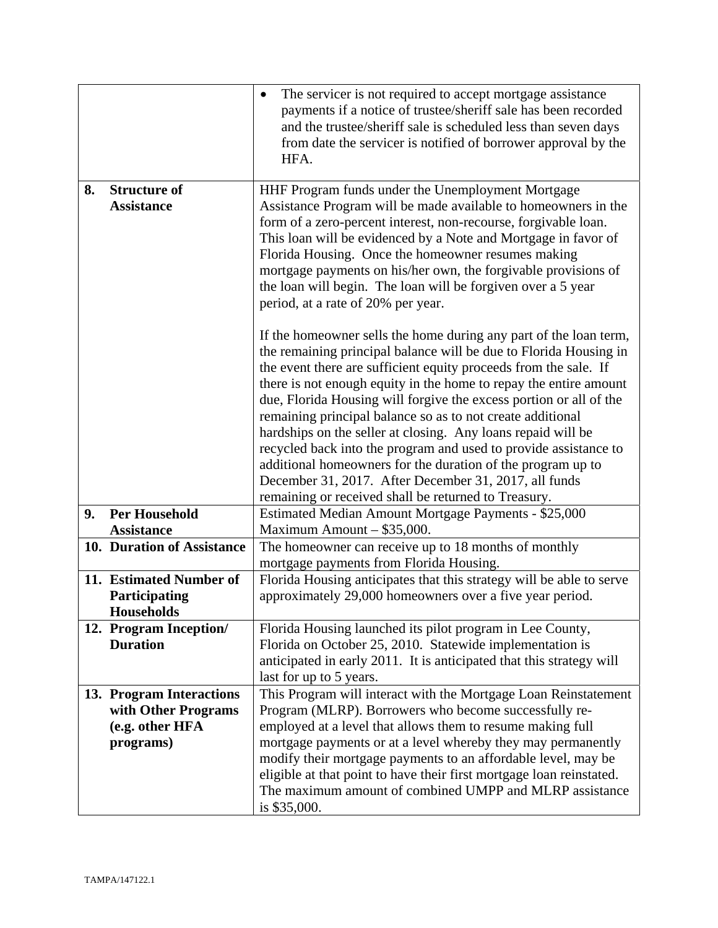|    |                                                                                                                                                                                                                                                                                                                                                                                                                                                                                                                                    | The servicer is not required to accept mortgage assistance<br>$\bullet$<br>payments if a notice of trustee/sheriff sale has been recorded<br>and the trustee/sheriff sale is scheduled less than seven days<br>from date the servicer is notified of borrower approval by the<br>HFA.                                                                                                                                                                                                                                                                                                                                                                                                                                                   |
|----|------------------------------------------------------------------------------------------------------------------------------------------------------------------------------------------------------------------------------------------------------------------------------------------------------------------------------------------------------------------------------------------------------------------------------------------------------------------------------------------------------------------------------------|-----------------------------------------------------------------------------------------------------------------------------------------------------------------------------------------------------------------------------------------------------------------------------------------------------------------------------------------------------------------------------------------------------------------------------------------------------------------------------------------------------------------------------------------------------------------------------------------------------------------------------------------------------------------------------------------------------------------------------------------|
| 8. | <b>Structure of</b><br>HHF Program funds under the Unemployment Mortgage<br>Assistance Program will be made available to homeowners in the<br><b>Assistance</b><br>form of a zero-percent interest, non-recourse, forgivable loan.<br>This loan will be evidenced by a Note and Mortgage in favor of<br>Florida Housing. Once the homeowner resumes making<br>mortgage payments on his/her own, the forgivable provisions of<br>the loan will begin. The loan will be forgiven over a 5 year<br>period, at a rate of 20% per year. |                                                                                                                                                                                                                                                                                                                                                                                                                                                                                                                                                                                                                                                                                                                                         |
|    |                                                                                                                                                                                                                                                                                                                                                                                                                                                                                                                                    | If the homeowner sells the home during any part of the loan term,<br>the remaining principal balance will be due to Florida Housing in<br>the event there are sufficient equity proceeds from the sale. If<br>there is not enough equity in the home to repay the entire amount<br>due, Florida Housing will forgive the excess portion or all of the<br>remaining principal balance so as to not create additional<br>hardships on the seller at closing. Any loans repaid will be<br>recycled back into the program and used to provide assistance to<br>additional homeowners for the duration of the program up to<br>December 31, 2017. After December 31, 2017, all funds<br>remaining or received shall be returned to Treasury. |
| 9. | <b>Per Household</b><br><b>Assistance</b>                                                                                                                                                                                                                                                                                                                                                                                                                                                                                          | Estimated Median Amount Mortgage Payments - \$25,000<br>Maximum Amount - \$35,000.                                                                                                                                                                                                                                                                                                                                                                                                                                                                                                                                                                                                                                                      |
|    | 10. Duration of Assistance                                                                                                                                                                                                                                                                                                                                                                                                                                                                                                         | The homeowner can receive up to 18 months of monthly<br>mortgage payments from Florida Housing.                                                                                                                                                                                                                                                                                                                                                                                                                                                                                                                                                                                                                                         |
|    | 11. Estimated Number of<br>Participating<br><b>Households</b>                                                                                                                                                                                                                                                                                                                                                                                                                                                                      | Florida Housing anticipates that this strategy will be able to serve<br>approximately 29,000 homeowners over a five year period.                                                                                                                                                                                                                                                                                                                                                                                                                                                                                                                                                                                                        |
|    | 12. Program Inception/<br><b>Duration</b>                                                                                                                                                                                                                                                                                                                                                                                                                                                                                          | Florida Housing launched its pilot program in Lee County,<br>Florida on October 25, 2010. Statewide implementation is<br>anticipated in early 2011. It is anticipated that this strategy will<br>last for up to 5 years.                                                                                                                                                                                                                                                                                                                                                                                                                                                                                                                |
|    | 13. Program Interactions                                                                                                                                                                                                                                                                                                                                                                                                                                                                                                           | This Program will interact with the Mortgage Loan Reinstatement                                                                                                                                                                                                                                                                                                                                                                                                                                                                                                                                                                                                                                                                         |
|    | with Other Programs                                                                                                                                                                                                                                                                                                                                                                                                                                                                                                                | Program (MLRP). Borrowers who become successfully re-                                                                                                                                                                                                                                                                                                                                                                                                                                                                                                                                                                                                                                                                                   |
|    | (e.g. other HFA                                                                                                                                                                                                                                                                                                                                                                                                                                                                                                                    | employed at a level that allows them to resume making full                                                                                                                                                                                                                                                                                                                                                                                                                                                                                                                                                                                                                                                                              |
|    | programs)                                                                                                                                                                                                                                                                                                                                                                                                                                                                                                                          | mortgage payments or at a level whereby they may permanently<br>modify their mortgage payments to an affordable level, may be<br>eligible at that point to have their first mortgage loan reinstated.<br>The maximum amount of combined UMPP and MLRP assistance<br>is \$35,000.                                                                                                                                                                                                                                                                                                                                                                                                                                                        |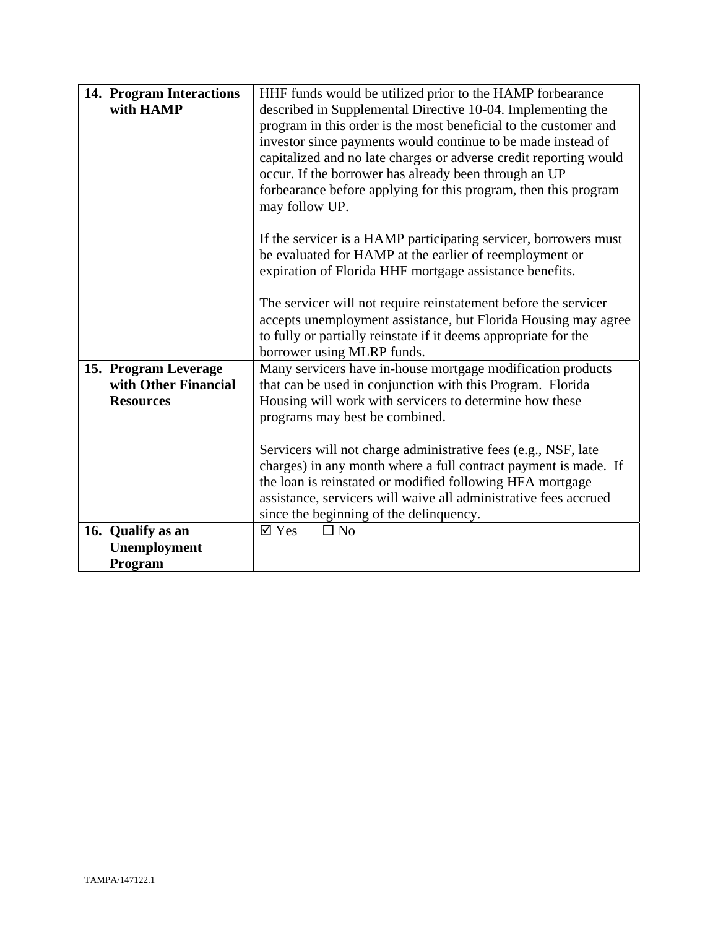| 14. Program Interactions<br>with HAMP                            | HHF funds would be utilized prior to the HAMP forbearance<br>described in Supplemental Directive 10-04. Implementing the<br>program in this order is the most beneficial to the customer and<br>investor since payments would continue to be made instead of<br>capitalized and no late charges or adverse credit reporting would<br>occur. If the borrower has already been through an UP<br>forbearance before applying for this program, then this program<br>may follow UP. |
|------------------------------------------------------------------|---------------------------------------------------------------------------------------------------------------------------------------------------------------------------------------------------------------------------------------------------------------------------------------------------------------------------------------------------------------------------------------------------------------------------------------------------------------------------------|
|                                                                  | If the servicer is a HAMP participating servicer, borrowers must<br>be evaluated for HAMP at the earlier of reemployment or<br>expiration of Florida HHF mortgage assistance benefits.<br>The servicer will not require reinstatement before the servicer                                                                                                                                                                                                                       |
|                                                                  | accepts unemployment assistance, but Florida Housing may agree<br>to fully or partially reinstate if it deems appropriate for the<br>borrower using MLRP funds.                                                                                                                                                                                                                                                                                                                 |
| 15. Program Leverage<br>with Other Financial<br><b>Resources</b> | Many servicers have in-house mortgage modification products<br>that can be used in conjunction with this Program. Florida<br>Housing will work with servicers to determine how these<br>programs may best be combined.                                                                                                                                                                                                                                                          |
|                                                                  | Servicers will not charge administrative fees (e.g., NSF, late<br>charges) in any month where a full contract payment is made. If<br>the loan is reinstated or modified following HFA mortgage<br>assistance, servicers will waive all administrative fees accrued<br>since the beginning of the delinquency.                                                                                                                                                                   |
| 16. Qualify as an<br>Unemployment<br>Program                     | $\Box$ No<br>$\boxtimes$ Yes                                                                                                                                                                                                                                                                                                                                                                                                                                                    |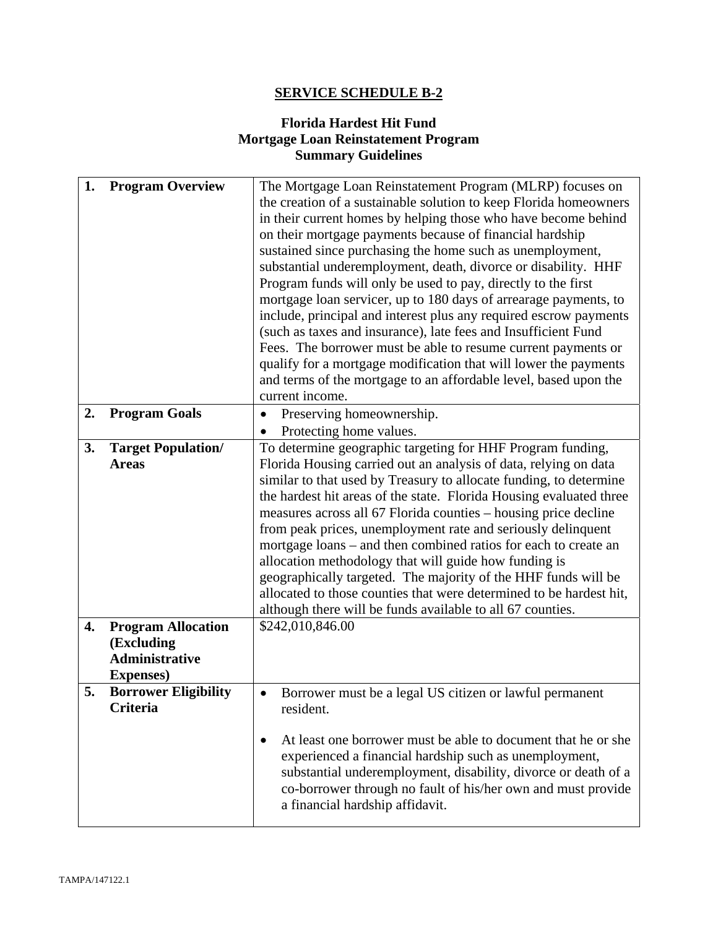# **SERVICE SCHEDULE B-2**

# **Florida Hardest Hit Fund Mortgage Loan Reinstatement Program Summary Guidelines**

| 1. | <b>Program Overview</b>                                                               | The Mortgage Loan Reinstatement Program (MLRP) focuses on<br>the creation of a sustainable solution to keep Florida homeowners<br>in their current homes by helping those who have become behind<br>on their mortgage payments because of financial hardship<br>sustained since purchasing the home such as unemployment,<br>substantial underemployment, death, divorce or disability. HHF<br>Program funds will only be used to pay, directly to the first<br>mortgage loan servicer, up to 180 days of arrearage payments, to<br>include, principal and interest plus any required escrow payments                                                                               |  |
|----|---------------------------------------------------------------------------------------|-------------------------------------------------------------------------------------------------------------------------------------------------------------------------------------------------------------------------------------------------------------------------------------------------------------------------------------------------------------------------------------------------------------------------------------------------------------------------------------------------------------------------------------------------------------------------------------------------------------------------------------------------------------------------------------|--|
|    |                                                                                       | (such as taxes and insurance), late fees and Insufficient Fund                                                                                                                                                                                                                                                                                                                                                                                                                                                                                                                                                                                                                      |  |
|    |                                                                                       | Fees. The borrower must be able to resume current payments or<br>qualify for a mortgage modification that will lower the payments<br>and terms of the mortgage to an affordable level, based upon the                                                                                                                                                                                                                                                                                                                                                                                                                                                                               |  |
| 2. | <b>Program Goals</b>                                                                  | current income.<br>Preserving homeownership.<br>$\bullet$                                                                                                                                                                                                                                                                                                                                                                                                                                                                                                                                                                                                                           |  |
|    |                                                                                       | Protecting home values.                                                                                                                                                                                                                                                                                                                                                                                                                                                                                                                                                                                                                                                             |  |
| 3. | <b>Target Population/</b>                                                             | To determine geographic targeting for HHF Program funding,                                                                                                                                                                                                                                                                                                                                                                                                                                                                                                                                                                                                                          |  |
|    | <b>Areas</b>                                                                          | Florida Housing carried out an analysis of data, relying on data<br>similar to that used by Treasury to allocate funding, to determine<br>the hardest hit areas of the state. Florida Housing evaluated three<br>measures across all 67 Florida counties – housing price decline<br>from peak prices, unemployment rate and seriously delinquent<br>mortgage loans – and then combined ratios for each to create an<br>allocation methodology that will guide how funding is<br>geographically targeted. The majority of the HHF funds will be<br>allocated to those counties that were determined to be hardest hit,<br>although there will be funds available to all 67 counties. |  |
| 4. | <b>Program Allocation</b><br>(Excluding<br><b>Administrative</b><br><b>Expenses</b> ) | \$242,010,846.00                                                                                                                                                                                                                                                                                                                                                                                                                                                                                                                                                                                                                                                                    |  |
| 5. | <b>Borrower Eligibility</b><br>Criteria                                               | Borrower must be a legal US citizen or lawful permanent<br>resident.                                                                                                                                                                                                                                                                                                                                                                                                                                                                                                                                                                                                                |  |
|    |                                                                                       | At least one borrower must be able to document that he or she<br>experienced a financial hardship such as unemployment,<br>substantial underemployment, disability, divorce or death of a<br>co-borrower through no fault of his/her own and must provide<br>a financial hardship affidavit.                                                                                                                                                                                                                                                                                                                                                                                        |  |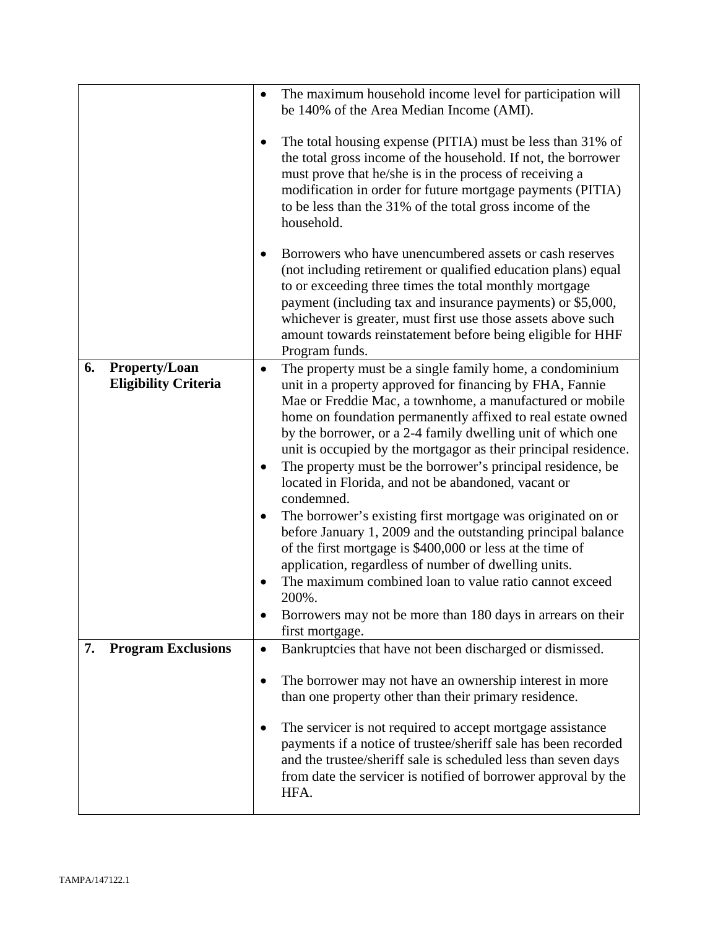|                                                           | The maximum household income level for participation will<br>be 140% of the Area Median Income (AMI).                                                                                                                                                                                                                                                                                                                                                                                                                                                                                                                                                                                                                                                                                                                                                                                                                                       |
|-----------------------------------------------------------|---------------------------------------------------------------------------------------------------------------------------------------------------------------------------------------------------------------------------------------------------------------------------------------------------------------------------------------------------------------------------------------------------------------------------------------------------------------------------------------------------------------------------------------------------------------------------------------------------------------------------------------------------------------------------------------------------------------------------------------------------------------------------------------------------------------------------------------------------------------------------------------------------------------------------------------------|
|                                                           | The total housing expense (PITIA) must be less than 31% of<br>the total gross income of the household. If not, the borrower<br>must prove that he/she is in the process of receiving a<br>modification in order for future mortgage payments (PITIA)<br>to be less than the 31% of the total gross income of the<br>household.                                                                                                                                                                                                                                                                                                                                                                                                                                                                                                                                                                                                              |
|                                                           | Borrowers who have unencumbered assets or cash reserves<br>(not including retirement or qualified education plans) equal<br>to or exceeding three times the total monthly mortgage<br>payment (including tax and insurance payments) or \$5,000,<br>whichever is greater, must first use those assets above such<br>amount towards reinstatement before being eligible for HHF<br>Program funds.                                                                                                                                                                                                                                                                                                                                                                                                                                                                                                                                            |
| <b>Property/Loan</b><br>6.<br><b>Eligibility Criteria</b> | The property must be a single family home, a condominium<br>$\bullet$<br>unit in a property approved for financing by FHA, Fannie<br>Mae or Freddie Mac, a townhome, a manufactured or mobile<br>home on foundation permanently affixed to real estate owned<br>by the borrower, or a 2-4 family dwelling unit of which one<br>unit is occupied by the mortgagor as their principal residence.<br>The property must be the borrower's principal residence, be<br>located in Florida, and not be abandoned, vacant or<br>condemned.<br>The borrower's existing first mortgage was originated on or<br>before January 1, 2009 and the outstanding principal balance<br>of the first mortgage is \$400,000 or less at the time of<br>application, regardless of number of dwelling units.<br>The maximum combined loan to value ratio cannot exceed<br>200%.<br>Borrowers may not be more than 180 days in arrears on their<br>first mortgage. |
| <b>Program Exclusions</b><br>7.                           | Bankruptcies that have not been discharged or dismissed.<br>$\bullet$                                                                                                                                                                                                                                                                                                                                                                                                                                                                                                                                                                                                                                                                                                                                                                                                                                                                       |
|                                                           | The borrower may not have an ownership interest in more<br>$\bullet$<br>than one property other than their primary residence.<br>The servicer is not required to accept mortgage assistance<br>payments if a notice of trustee/sheriff sale has been recorded<br>and the trustee/sheriff sale is scheduled less than seven days<br>from date the servicer is notified of borrower approval by the<br>HFA.                                                                                                                                                                                                                                                                                                                                                                                                                                                                                                                                   |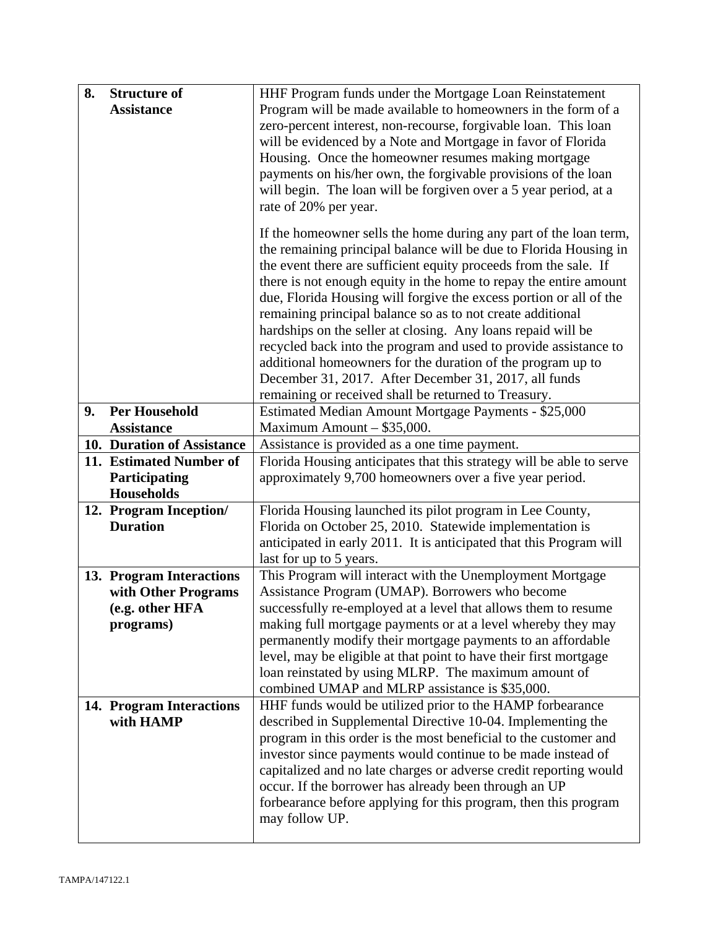| 8. | <b>Structure of</b>        | HHF Program funds under the Mortgage Loan Reinstatement                                                                   |  |
|----|----------------------------|---------------------------------------------------------------------------------------------------------------------------|--|
|    | <b>Assistance</b>          | Program will be made available to homeowners in the form of a                                                             |  |
|    |                            | zero-percent interest, non-recourse, forgivable loan. This loan                                                           |  |
|    |                            | will be evidenced by a Note and Mortgage in favor of Florida                                                              |  |
|    |                            | Housing. Once the homeowner resumes making mortgage                                                                       |  |
|    |                            | payments on his/her own, the forgivable provisions of the loan                                                            |  |
|    |                            | will begin. The loan will be forgiven over a 5 year period, at a                                                          |  |
|    |                            | rate of 20% per year.                                                                                                     |  |
|    |                            | If the homeowner sells the home during any part of the loan term,                                                         |  |
|    |                            | the remaining principal balance will be due to Florida Housing in                                                         |  |
|    |                            | the event there are sufficient equity proceeds from the sale. If                                                          |  |
|    |                            | there is not enough equity in the home to repay the entire amount                                                         |  |
|    |                            | due, Florida Housing will forgive the excess portion or all of the                                                        |  |
|    |                            | remaining principal balance so as to not create additional                                                                |  |
|    |                            | hardships on the seller at closing. Any loans repaid will be                                                              |  |
|    |                            | recycled back into the program and used to provide assistance to                                                          |  |
|    |                            | additional homeowners for the duration of the program up to<br>December 31, 2017. After December 31, 2017, all funds      |  |
|    |                            | remaining or received shall be returned to Treasury.                                                                      |  |
| 9. | <b>Per Household</b>       | Estimated Median Amount Mortgage Payments - \$25,000                                                                      |  |
|    | <b>Assistance</b>          | Maximum Amount - \$35,000.                                                                                                |  |
|    | 10. Duration of Assistance | Assistance is provided as a one time payment.                                                                             |  |
|    | 11. Estimated Number of    | Florida Housing anticipates that this strategy will be able to serve                                                      |  |
|    | Participating              | approximately 9,700 homeowners over a five year period.                                                                   |  |
|    | Households                 |                                                                                                                           |  |
|    | 12. Program Inception/     | Florida Housing launched its pilot program in Lee County,                                                                 |  |
|    | <b>Duration</b>            | Florida on October 25, 2010. Statewide implementation is                                                                  |  |
|    |                            | anticipated in early 2011. It is anticipated that this Program will                                                       |  |
|    |                            | last for up to 5 years.                                                                                                   |  |
|    | 13. Program Interactions   | This Program will interact with the Unemployment Mortgage                                                                 |  |
|    | with Other Programs        | Assistance Program (UMAP). Borrowers who become                                                                           |  |
|    | (e.g. other HFA            | successfully re-employed at a level that allows them to resume                                                            |  |
|    | programs)                  | making full mortgage payments or at a level whereby they may                                                              |  |
|    |                            | permanently modify their mortgage payments to an affordable                                                               |  |
|    |                            | level, may be eligible at that point to have their first mortgage<br>loan reinstated by using MLRP. The maximum amount of |  |
|    |                            | combined UMAP and MLRP assistance is \$35,000.                                                                            |  |
|    | 14. Program Interactions   | HHF funds would be utilized prior to the HAMP forbearance                                                                 |  |
|    | with HAMP                  | described in Supplemental Directive 10-04. Implementing the                                                               |  |
|    |                            | program in this order is the most beneficial to the customer and                                                          |  |
|    |                            | investor since payments would continue to be made instead of                                                              |  |
|    |                            | capitalized and no late charges or adverse credit reporting would                                                         |  |
|    |                            | occur. If the borrower has already been through an UP                                                                     |  |
|    |                            | forbearance before applying for this program, then this program                                                           |  |
|    |                            | may follow UP.                                                                                                            |  |
|    |                            |                                                                                                                           |  |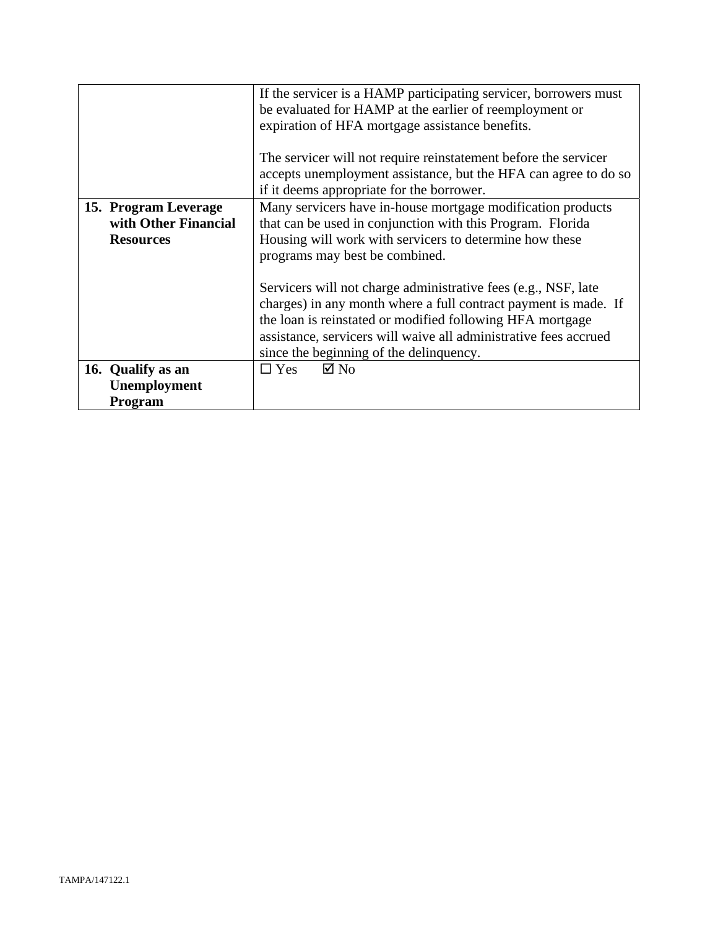|                                                                                                                                                                                                                                                                                            | If the servicer is a HAMP participating servicer, borrowers must<br>be evaluated for HAMP at the earlier of reemployment or<br>expiration of HFA mortgage assistance benefits.                                                                                                                                |
|--------------------------------------------------------------------------------------------------------------------------------------------------------------------------------------------------------------------------------------------------------------------------------------------|---------------------------------------------------------------------------------------------------------------------------------------------------------------------------------------------------------------------------------------------------------------------------------------------------------------|
|                                                                                                                                                                                                                                                                                            | The servicer will not require reinstatement before the servicer<br>accepts unemployment assistance, but the HFA can agree to do so<br>if it deems appropriate for the borrower.                                                                                                                               |
| Many servicers have in-house mortgage modification products<br>15. Program Leverage<br>with Other Financial<br>that can be used in conjunction with this Program. Florida<br>Housing will work with servicers to determine how these<br><b>Resources</b><br>programs may best be combined. |                                                                                                                                                                                                                                                                                                               |
|                                                                                                                                                                                                                                                                                            | Servicers will not charge administrative fees (e.g., NSF, late<br>charges) in any month where a full contract payment is made. If<br>the loan is reinstated or modified following HFA mortgage<br>assistance, servicers will waive all administrative fees accrued<br>since the beginning of the delinquency. |
| 16. Qualify as an                                                                                                                                                                                                                                                                          | $\boxtimes$ No<br>$\Box$ Yes                                                                                                                                                                                                                                                                                  |
| Unemployment                                                                                                                                                                                                                                                                               |                                                                                                                                                                                                                                                                                                               |
| Program                                                                                                                                                                                                                                                                                    |                                                                                                                                                                                                                                                                                                               |